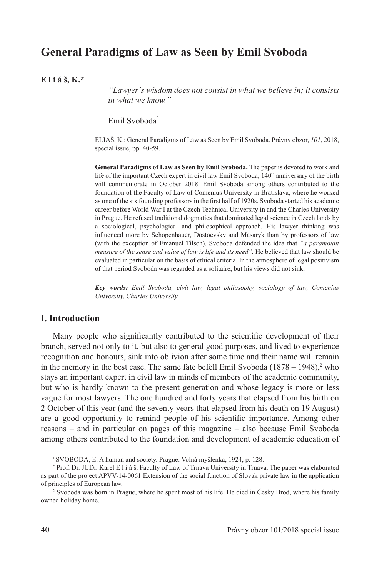# **General Paradigms of Law as Seen by Emil Svoboda**

**E l i á š, K.\***

*"Lawyer´s wisdom does not consist in what we believe in; it consists in what we know."*

Emil Svoboda<sup>1</sup>

ELIÁŠ, K.: General Paradigms of Law as Seen by Emil Svoboda. Právny obzor, *101*, 2018, special issue, pp. 40-59.

**General Paradigms of Law as Seen by Emil Svoboda.** The paper is devoted to work and life of the important Czech expert in civil law Emil Svoboda; 140<sup>th</sup> anniversary of the birth will commemorate in October 2018. Emil Svoboda among others contributed to the foundation of the Faculty of Law of Comenius University in Bratislava, where he worked as one of the six founding professors in the first half of 1920s. Svoboda started his academic career before World War I at the Czech Technical University in and the Charles University in Prague. He refused traditional dogmatics that dominated legal science in Czech lands by a sociological, psychological and philosophical approach. His lawyer thinking was influenced more by Schopenhauer, Dostoevsky and Masaryk than by professors of law (with the exception of Emanuel Tilsch). Svoboda defended the idea that *"a paramount measure of the sense and value of law is life and its need".* He believed that law should be evaluated in particular on the basis of ethical criteria. In the atmosphere of legal positivism of that period Svoboda was regarded as a solitaire, but his views did not sink.

*Key words: Emil Svoboda, civil law, legal philosophy, sociology of law, Comenius University, Charles University* 

## **I. Introduction**

Many people who significantly contributed to the scientific development of their branch, served not only to it, but also to general good purposes, and lived to experience recognition and honours, sink into oblivion after some time and their name will remain in the memory in the best case. The same fate befell Emil Svoboda  $(1878 - 1948)$ <sup>2</sup> who stays an important expert in civil law in minds of members of the academic community, but who is hardly known to the present generation and whose legacy is more or less vague for most lawyers. The one hundred and forty years that elapsed from his birth on 2 October of this year (and the seventy years that elapsed from his death on 19 August) are a good opportunity to remind people of his scientific importance. Among other reasons – and in particular on pages of this magazine – also because Emil Svoboda among others contributed to the foundation and development of academic education of

<sup>1</sup> SVOBODA, E. A human and society. Prague: Volná myšlenka, 1924, p. 128.

<sup>\*</sup> Prof. Dr. JUDr. Karel E l i á š, Faculty of Law of Trnava University in Trnava. The paper was elaborated as part of the project APVV-14-0061 Extension of the social function of Slovak private law in the application of principles of European law.

<sup>2</sup> Svoboda was born in Prague, where he spent most of his life. He died in Český Brod, where his family owned holiday home.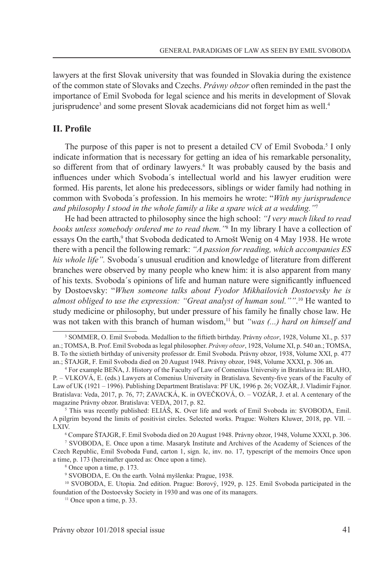lawyers at the first Slovak university that was founded in Slovakia during the existence of the common state of Slovaks and Czechs. *Právny obzor* often reminded in the past the importance of Emil Svoboda for legal science and his merits in development of Slovak jurisprudence<sup>3</sup> and some present Slovak academicians did not forget him as well.<sup>4</sup>

#### **II. Profile**

The purpose of this paper is not to present a detailed CV of Emil Svoboda.<sup>5</sup> I only indicate information that is necessary for getting an idea of his remarkable personality, so different from that of ordinary lawyers.<sup>6</sup> It was probably caused by the basis and influences under which Svoboda´s intellectual world and his lawyer erudition were formed. His parents, let alone his predecessors, siblings or wider family had nothing in common with Svoboda´s profession. In his memoirs he wrote: "*With my jurisprudence and philosophy I stood in the whole family a like a spare wick at a wedding."*<sup>7</sup>

He had been attracted to philosophy since the high school: *"I very much liked to read books unless somebody ordered me to read them."*<sup>8</sup> In my library I have a collection of essays On the earth,<sup>9</sup> that Svoboda dedicated to Arnošt Wenig on 4 May 1938. He wrote there with a pencil the following remark: *"A passion for reading, which accompanies ES his whole life".* Svoboda´s unusual erudition and knowledge of literature from different branches were observed by many people who knew him: it is also apparent from many of his texts. Svoboda´s opinions of life and human nature were significantly influenced by Dostoevsky: "*When someone talks about Fyodor Mikhailovich Dostoevsky he is almost obliged to use the expression: "Great analyst of human soul.""*. 10 He wanted to study medicine or philosophy, but under pressure of his family he finally chose law. He was not taken with this branch of human wisdom,<sup>11</sup> but *"was (...) hard on himself and* 

<sup>3</sup> SOMMER, O. Emil Svoboda. Medallion to the fiftieth birthday. Právny *obzor*, 1928, Volume XI., p. 537 an.; TOMSA, B. Prof. Emil Svoboda as legal philosopher. *Právny obzor*, 1928, Volume XI, p. 540 an.; TOMSA, B. To the sixtieth birthday of university professor dr. Emil Svoboda. Právny obzor, 1938, Volume XXI, p. 477 an.; ŠTAJGR, F. Emil Svoboda died on 20 August 1948. Právny obzor, 1948, Volume XXXI, p. 306 an.

<sup>4</sup> For example BEŇA, J. History of the Faculty of Law of Comenius University in Bratislava in: BLAHO, P. – VLKOVÁ, E. (eds.) Lawyers at Comenius University in Bratislava. Seventy-five years of the Faculty of Law of UK (1921 – 1996). Publishing Department Bratislava: PF UK, 1996 p. 26; VOZÁR, J. Vladimír Fajnor. Bratislava: Veda, 2017, p. 76, 77; ZAVACKÁ, K. in OVEČKOVÁ, O. – VOZÁR, J. et al. A centenary of the magazine Právny obzor. Bratislava: VEDA, 2017, p. 82.

<sup>&</sup>lt;sup>5</sup> This was recently published: ELIAS, K. Over life and work of Emil Svoboda in: SVOBODA, Emil. A pilgrim beyond the limits of positivist circles. Selected works. Prague: Wolters Kluwer, 2018, pp. VII. – LXIV.

<sup>6</sup> Compare ŠTAJGR, F. Emil Svoboda died on 20 August 1948. Právny obzor, 1948, Volume XXXI, p. 306.

<sup>7</sup> SVOBODA, E. Once upon a time. Masaryk Institute and Archives of the Academy of Sciences of the Czech Republic, Emil Svoboda Fund, carton 1, sign. Ic, inv. no. 17, typescript of the memoirs Once upon a time, p. 173 (hereinafter quoted as: Once upon a time).

<sup>8</sup> Once upon a time, p. 173.

<sup>9</sup> SVOBODA, E. On the earth. Volná myšlenka: Prague, 1938.

<sup>10</sup> SVOBODA, E. Utopia. 2nd edition. Prague: Borový, 1929, p. 125. Emil Svoboda participated in the foundation of the Dostoevsky Society in 1930 and was one of its managers.

 $11$  Once upon a time, p. 33.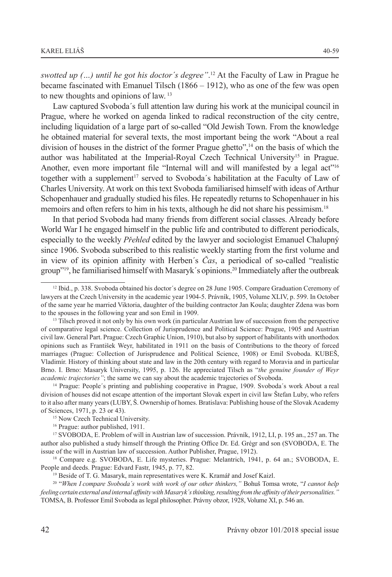*swotted up (…) until he got his doctor´s degree"*. 12 At the Faculty of Law in Prague he became fascinated with Emanuel Tilsch (1866 – 1912), who as one of the few was open to new thoughts and opinions of law. <sup>13</sup>

Law captured Svoboda´s full attention law during his work at the municipal council in Prague, where he worked on agenda linked to radical reconstruction of the city centre, including liquidation of a large part of so-called "Old Jewish Town. From the knowledge he obtained material for several texts, the most important being the work "About a real division of houses in the district of the former Prague ghetto",<sup>14</sup> on the basis of which the author was habilitated at the Imperial-Royal Czech Technical University15 in Prague. Another, even more important file "Internal will and will manifested by a legal act"<sup>16</sup> together with a supplement<sup>17</sup> served to Svoboda's habilitation at the Faculty of Law of Charles University. At work on this text Svoboda familiarised himself with ideas of Arthur Schopenhauer and gradually studied his files. He repeatedly returns to Schopenhauer in his memoirs and often refers to him in his texts, although he did not share his pessimism.<sup>18</sup>

In that period Svoboda had many friends from different social classes. Already before World War I he engaged himself in the public life and contributed to different periodicals, especially to the weekly *Přehled* edited by the lawyer and sociologist Emanuel Chalupný since 1906. Svoboda subscribed to this realistic weekly starting from the first volume and in view of its opinion affinity with Herben´s *Čas*, a periodical of so-called "realistic group"19, he familiarised himself with Masaryk´s opinions.20 Immediately after the outbreak

<sup>14</sup> Prague: People's printing and publishing cooperative in Prague, 1909. Svoboda's work About a real division of houses did not escape attention of the important Slovak expert in civil law Štefan Luby, who refers to it also after many years (LUBY, Š. Ownership of homes. Bratislava: Publishing house of the Slovak Academy of Sciences, 1971, p. 23 or 43).

<sup>12</sup> Ibid., p. 338. Svoboda obtained his doctor´s degree on 28 June 1905. Compare Graduation Ceremony of lawyers at the Czech University in the academic year 1904-5. Právník, 1905, Volume XLIV, p. 599. In October of the same year he married Viktoria, daughter of the building contractor Jan Koula; daughter Zdena was born to the spouses in the following year and son Emil in 1909.

<sup>&</sup>lt;sup>13</sup> Tilsch proved it not only by his own work (in particular Austrian law of succession from the perspective of comparative legal science. Collection of Jurisprudence and Political Science: Prague, 1905 and Austrian civil law. General Part. Prague: Czech Graphic Union, 1910), but also by support of habilitants with unorthodox opinions such as František Weyr, habilitated in 1911 on the basis of Contributions to the theory of forced marriages (Prague: Collection of Jurisprudence and Political Science, 1908) or Emil Svoboda. KUBEŠ, Vladimír. History of thinking about state and law in the 20th century with regard to Moravia and in particular Brno. I. Brno: Masaryk University, 1995, p. 126. He appreciated Tilsch as "*the genuine founder of Weyr academic trajectories"*; the same we can say about the academic trajectories of Svoboda.

<sup>&</sup>lt;sup>15</sup> Now Czech Technical University.

<sup>16</sup> Prague: author published, 1911.

<sup>17</sup> SVOBODA, E. Problem of will in Austrian law of succession. Právník, 1912, LI, p. 195 an., 257 an. The author also published a study himself through the Printing Office Dr. Ed. Grégr and son (SVOBODA, E. The issue of the will in Austrian law of succession. Author Publisher, Prague, 1912).

<sup>&</sup>lt;sup>18</sup> Compare e.g. SVOBODA, E. Life mysteries. Prague: Melantrich, 1941, p. 64 an.; SVOBODA, E. People and deeds. Prague: Edvard Fastr, 1945, p. 77, 82.

<sup>&</sup>lt;sup>19</sup> Beside of T. G. Masaryk, main representatives were K. Kramář and Josef Kaizl.

<sup>20 &</sup>quot;*When I compare Svoboda´s work with work of our other thinkers,"* Bohuš Tomsa wrote, "*I cannot help feeling certain external and internal affinity with Masaryk´s thinking, resulting from the affinity of their personalities."* TOMSA, B. Professor Emil Svoboda as legal philosopher. Právny obzor, 1928, Volume XI, p. 546 an.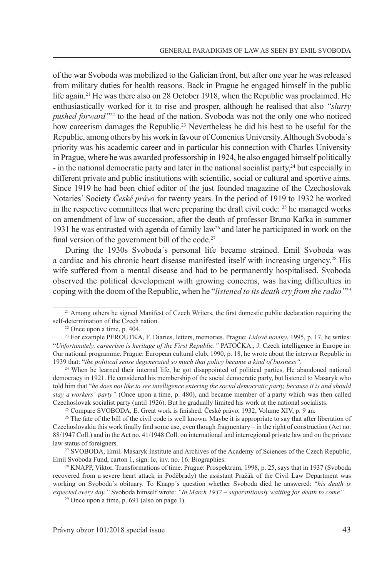of the war Svoboda was mobilized to the Galician front, but after one year he was released from military duties for health reasons. Back in Prague he engaged himself in the public life again.<sup>21</sup> He was there also on 28 October 1918, when the Republic was proclaimed. He enthusiastically worked for it to rise and prosper, although he realised that also *"slurry pushed forward"*22 to the head of the nation. Svoboda was not the only one who noticed how careerism damages the Republic.<sup>23</sup> Nevertheless he did his best to be useful for the Republic, among others by his work in favour of Comenius University. Although Svoboda´s priority was his academic career and in particular his connection with Charles University in Prague, where he was awarded professorship in 1924, he also engaged himself politically - in the national democratic party and later in the national socialist party,24 but especially in different private and public institutions with scientific, social or cultural and sportive aims. Since 1919 he had been chief editor of the just founded magazine of the Czechoslovak Notaries´ Society *České právo* for twenty years. In the period of 1919 to 1932 he worked in the respective committees that were preparing the draft civil code:  $2<sup>5</sup>$  he managed works on amendment of law of succession, after the death of professor Bruno Kafka in summer 1931 he was entrusted with agenda of family law26 and later he participated in work on the final version of the government bill of the code.<sup>27</sup>

During the 1930s Svoboda´s personal life became strained. Emil Svoboda was a cardiac and his chronic heart disease manifested itself with increasing urgency.28 His wife suffered from a mental disease and had to be permanently hospitalised. Svoboda observed the political development with growing concerns, was having difficulties in coping with the doom of the Republic, when he "*listened to its death cry from the radio"*<sup>29</sup>

<sup>24</sup> When he learned their internal life, he got disappointed of political parties. He abandoned national democracy in 1921. He considered his membership of the social democratic party, but listened to Masaryk who told him that "*he does not like to see intelligence entering the social democratic party, because it is and should stay a workers´ party"* (Once upon a time, p. 480), and became member of a party which was then called Czechoslovak socialist party (until 1926). But he gradually limited his work at the national socialists.

25 Compare SVOBODA, E. Great work is finished. České právo, 1932, Volume XIV, p. 9 an.

<sup>&</sup>lt;sup>21</sup> Among others he signed Manifest of Czech Writers, the first domestic public declaration requiring the self-determination of the Czech nation.

<sup>22</sup> Once upon a time, p. 404. 23 For example PEROUTKA, F. Diaries, letters, memories. Prague: *Lidové noviny*, 1995, p. 17, he writes: "*Unfortunately, careerism is heritage of the First Republic."* PATOČKA., J. Czech intelligence in Europe in: Our national programme. Prague: European cultural club, 1990, p. 18, he wrote about the interwar Republic in 1939 that: "*the political sense degenerated so much that policy became a kind of business".*

<sup>&</sup>lt;sup>26</sup> The fate of the bill of the civil code is well known. Maybe it is appropriate to say that after liberation of Czechoslovakia this work finally find some use, even though fragmentary – in the right of construction (Act no. 88/1947 Coll.) and in the Act no. 41/1948 Coll. on international and interregional private law and on the private law status of foreigners.

<sup>27</sup> SVOBODA, Emil. Masaryk Institute and Archives of the Academy of Sciences of the Czech Republic, Emil Svoboda Fund, carton 1, sign. Ic, inv. no. 16. Biographies.

<sup>28</sup> KNAPP, Viktor. Transformations of time. Prague: Prospektrum, 1998, p. 25, says that in 1937 (Svoboda recovered from a severe heart attack in Poděbrady) the assistant Pražák of the Civil Law Department was working on Svoboda´s obituary. To Knapp´s question whether Svoboda died he answered: "*his death is expected every day."* Svoboda himself wrote: *"In March 1937 – superstitiously waiting for death to come".*

 $29$  Once upon a time, p. 691 (also on page 1).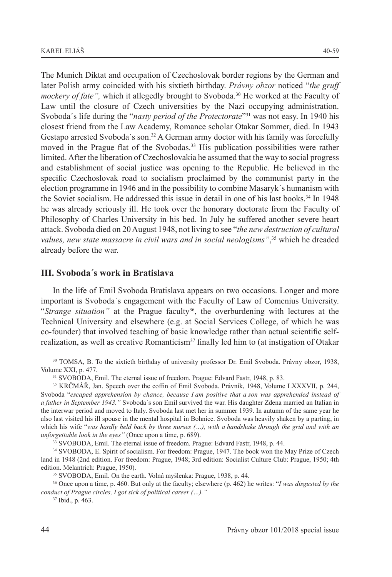The Munich Diktat and occupation of Czechoslovak border regions by the German and later Polish army coincided with his sixtieth birthday. *Právny obzor* noticed "*the gruff mockery of fate"*, which it allegedly brought to Svoboda.<sup>30</sup> He worked at the Faculty of Law until the closure of Czech universities by the Nazi occupying administration. Svoboda´s life during the "*nasty period of the Protectorate*"<sup>31</sup> was not easy. In 1940 his closest friend from the Law Academy, Romance scholar Otakar Sommer, died. In 1943 Gestapo arrested Svoboda's son.<sup>32</sup> A German army doctor with his family was forcefully moved in the Prague flat of the Svobodas.<sup>33</sup> His publication possibilities were rather limited. After the liberation of Czechoslovakia he assumed that the way to social progress and establishment of social justice was opening to the Republic. He believed in the specific Czechoslovak road to socialism proclaimed by the communist party in the election programme in 1946 and in the possibility to combine Masaryk´s humanism with the Soviet socialism. He addressed this issue in detail in one of his last books.<sup>34</sup> In 1948 he was already seriously ill. He took over the honorary doctorate from the Faculty of Philosophy of Charles University in his bed. In July he suffered another severe heart attack. Svoboda died on 20 August 1948, not living to see "*the new destruction of cultural values, new state massacre in civil wars and in social neologisms"*, 35 which he dreaded already before the war.

## **III. Svoboda´s work in Bratislava**

In the life of Emil Svoboda Bratislava appears on two occasions. Longer and more important is Svoboda´s engagement with the Faculty of Law of Comenius University. "*Strange situation*" at the Prague faculty<sup>36</sup>, the overburdening with lectures at the Technical University and elsewhere (e.g. at Social Services College, of which he was co-founder) that involved teaching of basic knowledge rather than actual scientific selfrealization, as well as creative Romanticism<sup>37</sup> finally led him to (at instigation of Otakar

<sup>30</sup> TOMSA, B. To the sixtieth birthday of university professor Dr. Emil Svoboda. Právny obzor, 1938, Volume XXI, p. 477.

<sup>31</sup> SVOBODA, Emil. The eternal issue of freedom. Prague: Edvard Fastr, 1948, p. 83.

<sup>32</sup> KRČMÁŘ, Jan. Speech over the coffin of Emil Svoboda. Právník, 1948, Volume LXXXVII, p. 244, Svoboda "*escaped apprehension by chance, because I am positive that a son was apprehended instead of a father in September 1943."* Svoboda´s son Emil survived the war. His daughter Zdena married an Italian in the interwar period and moved to Italy. Svoboda last met her in summer 1939. In autumn of the same year he also last visited his ill spouse in the mental hospital in Bohnice. Svoboda was heavily shaken by a parting, in which his wife "*was hardly held back by three nurses (…), with a handshake through the grid and with an unforgettable look in the eyes"* (Once upon a time, p. 689).

<sup>33</sup> SVOBODA, Emil. The eternal issue of freedom. Prague: Edvard Fastr, 1948, p. 44.

<sup>34</sup> SVOBODA, E. Spirit of socialism. For freedom: Prague, 1947. The book won the May Prize of Czech land in 1948 (2nd edition. For freedom: Prague, 1948; 3rd edition: Socialist Culture Club: Prague, 1950; 4th

<sup>&</sup>lt;sup>35</sup> SVOBODA, Emil. On the earth. Volná myšlenka: Prague, 1938, p. 44.

<sup>36</sup> Once upon a time, p. 460. But only at the faculty; elsewhere (p. 462) he writes: "*I was disgusted by the conduct of Prague circles, I got sick of political career (…)."*

<sup>37</sup> Ibid., p. 463.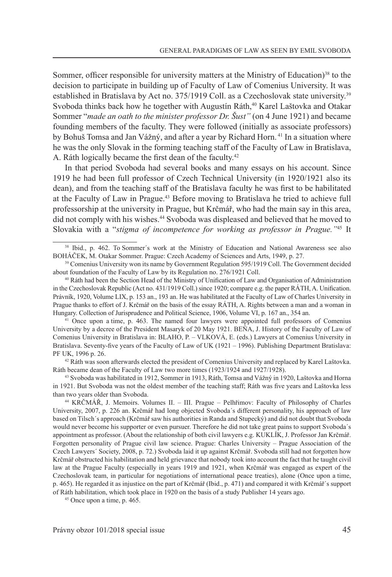Sommer, officer responsible for university matters at the Ministry of Education)<sup>38</sup> to the decision to participate in building up of Faculty of Law of Comenius University. It was established in Bratislava by Act no. 375/1919 Coll. as a Czechoslovak state university.39 Svoboda thinks back how he together with Augustín Ráth,<sup>40</sup> Karel Laštovka and Otakar Sommer "*made an oath to the minister professor Dr. Šust"* (on 4 June 1921) and became founding members of the faculty. They were followed (initially as associate professors) by Bohuš Tomsa and Jan Vážný, and after a year by Richard Horn. <sup>41</sup> In a situation where he was the only Slovak in the forming teaching staff of the Faculty of Law in Bratislava, A. Ráth logically became the first dean of the faculty.<sup>42</sup>

In that period Svoboda had several books and many essays on his account. Since 1919 he had been full professor of Czech Technical University (in 1920/1921 also its dean), and from the teaching staff of the Bratislava faculty he was first to be habilitated at the Faculty of Law in Prague.<sup>43</sup> Before moving to Bratislava he tried to achieve full professorship at the university in Prague, but Krčmář, who had the main say in this area, did not comply with his wishes.<sup>44</sup> Svoboda was displeased and believed that he moved to Slovakia with a "*stigma of incompetence for working as professor in Prague."*45 It

42 Ráth was soon afterwards elected the president of Comenius University and replaced by Karel Laštovka. Ráth became dean of the Faculty of Law two more times (1923/1924 and 1927/1928).

<sup>43</sup> Svoboda was habilitated in 1912, Sommer in 1913, Ráth, Tomsa and Vážný in 1920, Laštovka and Horna in 1921. But Svoboda was not the oldest member of the teaching staff; Ráth was five years and Laštovka less than two years older than Svoboda.

<sup>44</sup> KRČMÁŘ, J. Memoirs. Volumes II. – III. Prague – Pelhřimov: Faculty of Philosophy of Charles University, 2007, p. 226 an. Krčmář had long objected Svoboda´s different personality, his approach of law based on Tilsch´s approach (Krčmář saw his authorities in Randa and Stupecký) and did not doubt that Svoboda would never become his supporter or even pursuer. Therefore he did not take great pains to support Svoboda´s appointment as professor. (About the relationship of both civil lawyers e.g. KUKLÍK, J. Professor Jan Krčmář. Forgotten personality of Prague civil law science. Prague: Charles University – Prague Association of the Czech Lawyers´ Society, 2008, p. 72.) Svoboda laid it up against Krčmář. Svoboda still had not forgotten how Krčmář obstructed his habilitation and held grievance that nobody took into account the fact that he taught civil law at the Prague Faculty (especially in years 1919 and 1921, when Krčmář was engaged as expert of the Czechoslovak team, in particular for negotiations of international peace treaties), alone (Once upon a time, p. 465). He regarded it as injustice on the part of Krčmář (Ibid., p. 471) and compared it with Krčmář´s support of Ráth habilitation, which took place in 1920 on the basis of a study Publisher 14 years ago. 45 Once upon a time, p. 465.

<sup>38</sup> Ibid., p. 462. To Sommer´s work at the Ministry of Education and National Awareness see also BOHÁČEK, M. Otakar Sommer. Prague: Czech Academy of Sciences and Arts, 1949, p. 27.

<sup>&</sup>lt;sup>39</sup> Comenius University won its name by Government Regulation 595/1919 Coll. The Government decided about foundation of the Faculty of Law by its Regulation no. 276/1921 Coll.

<sup>40</sup> Ráth had been the Section Head of the Ministry of Unification of Law and Organisation of Administration in the Czechoslovak Republic (Act no. 431/1919 Coll.) since 1920; compare e.g. the paper RÁTH, A. Unification. Právník, 1920, Volume LIX, p. 153 an., 193 an. He was habilitated at the Faculty of Law of Charles University in Prague thanks to effort of J. Krčmář on the basis of the essay RÁTH, A. Rights between a man and a woman in Hungary. Collection of Jurisprudence and Political Science, 1906, Volume VI, p. 167 an., 354 an.

<sup>41</sup> Once upon a time, p. 463. The named four lawyers were appointed full professors of Comenius University by a decree of the President Masaryk of 20 May 1921. BEŇA, J. History of the Faculty of Law of Comenius University in Bratislava in: BLAHO, P. – VLKOVÁ, E. (eds.) Lawyers at Comenius University in Bratislava. Seventy-five years of the Faculty of Law of UK (1921 – 1996). Publishing Department Bratislava: PF UK, 1996 p. 26.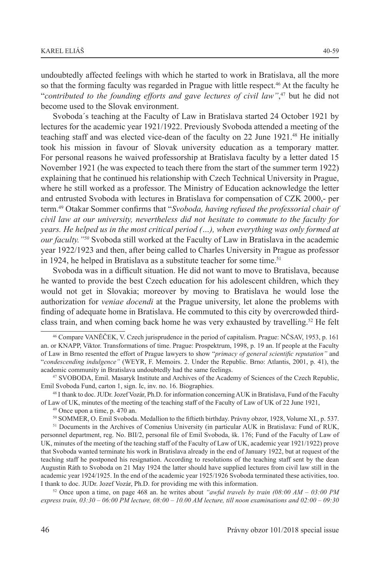undoubtedly affected feelings with which he started to work in Bratislava, all the more so that the forming faculty was regarded in Prague with little respect.<sup>46</sup> At the faculty he "*contributed to the founding efforts and gave lectures of civil law"*, <sup>47</sup> but he did not become used to the Slovak environment.

Svoboda´s teaching at the Faculty of Law in Bratislava started 24 October 1921 by lectures for the academic year 1921/1922. Previously Svoboda attended a meeting of the teaching staff and was elected vice-dean of the faculty on 22 June 1921.<sup>48</sup> He initially took his mission in favour of Slovak university education as a temporary matter. For personal reasons he waived professorship at Bratislava faculty by a letter dated 15 November 1921 (he was expected to teach there from the start of the summer term 1922) explaining that he continued his relationship with Czech Technical University in Prague, where he still worked as a professor. The Ministry of Education acknowledge the letter and entrusted Svoboda with lectures in Bratislava for compensation of CZK 2000,- per term.49 Otakar Sommer confirms that "*Svoboda, having refused the professorial chair of civil law at our university, nevertheless did not hesitate to commute to the faculty for years. He helped us in the most critical period (…), when everything was only formed at our faculty."50* Svoboda still worked at the Faculty of Law in Bratislava in the academic year 1922/1923 and then, after being called to Charles University in Prague as professor in 1924, he helped in Bratislava as a substitute teacher for some time.<sup>51</sup>

Svoboda was in a difficult situation. He did not want to move to Bratislava, because he wanted to provide the best Czech education for his adolescent children, which they would not get in Slovakia; moreover by moving to Bratislava he would lose the authorization for *veniae docendi* at the Prague university, let alone the problems with finding of adequate home in Bratislava. He commuted to this city by overcrowded thirdclass train, and when coming back home he was very exhausted by travelling.<sup>52</sup> He felt

<sup>46</sup> Compare VANĚČEK, V. Czech jurisprudence in the period of capitalism. Prague: NČSAV, 1953, p. 161 an. or KNAPP, Viktor. Transformations of time. Prague: Prospektrum, 1998, p. 19 an. If people at the Faculty of Law in Brno resented the effort of Prague lawyers to show "*primacy of general scientific reputation"* and "*condescending indulgence"* (WEYR, F. Memoirs. 2. Under the Republic. Brno: Atlantis, 2001, p. 41), the academic community in Bratislava undoubtedly had the same feelings.

<sup>47</sup> SVOBODA, Emil. Masaryk Institute and Archives of the Academy of Sciences of the Czech Republic, Emil Svoboda Fund, carton 1, sign. Ic, inv. no. 16. Biographies.

<sup>48</sup> I thank to doc. JUDr. Jozef Vozár, Ph.D. for information concerning AUK in Bratislava, Fund of the Faculty of Law of UK, minutes of the meeting of the teaching staff of the Faculty of Law of UK of 22 June 1921,<br><sup>49</sup> Once upon a time, p. 470 an.<br><sup>50</sup> SOMMER, O. Emil Svoboda. Medallion to the fiftieth birthday. Právny obzor, 1928

<sup>&</sup>lt;sup>51</sup> Documents in the Archives of Comenius University (in particular AUK in Bratislava: Fund of RUK, personnel department, reg. No. BII/2, personal file of Emil Svoboda, šk. 176; Fund of the Faculty of Law of UK, minutes of the meeting of the teaching staff of the Faculty of Law of UK, academic year 1921/1922) prove that Svoboda wanted terminate his work in Bratislava already in the end of January 1922, but at request of the teaching staff he postponed his resignation. According to resolutions of the teaching staff sent by the dean Augustin Ráth to Svoboda on 21 May 1924 the latter should have supplied lectures from civil law still in the academic year 1924/1925. In the end of the academic year 1925/1926 Svoboda terminated these activities, too. I thank to doc. JUDr. Jozef Vozár, Ph.D. for providing me with this information.

<sup>&</sup>lt;sup>52</sup> Once upon a time, on page 468 an. he writes about *"awful travels by train (08:00 AM – 03:00 PM express train, 03:30 – 06:00 PM lecture, 08:00 – 10.00 AM lecture, till noon examinations and 02:00 – 09:30*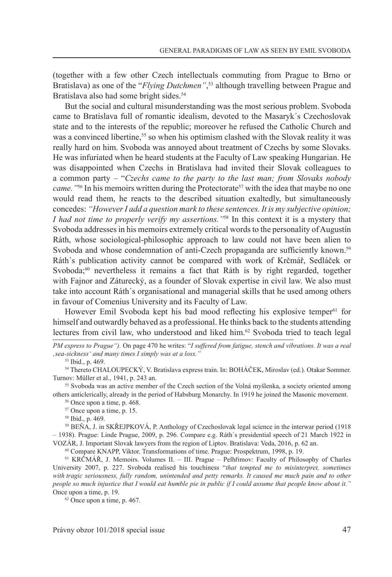(together with a few other Czech intellectuals commuting from Prague to Brno or Bratislava) as one of the "*Flying Dutchmen"*, 53 although travelling between Prague and Bratislava also had some bright sides.<sup>54</sup>

But the social and cultural misunderstanding was the most serious problem. Svoboda came to Bratislava full of romantic idealism, devoted to the Masaryk´s Czechoslovak state and to the interests of the republic; moreover he refused the Catholic Church and was a convinced libertine,<sup>55</sup> so when his optimism clashed with the Slovak reality it was really hard on him. Svoboda was annoyed about treatment of Czechs by some Slovaks. He was infuriated when he heard students at the Faculty of Law speaking Hungarian. He was disappointed when Czechs in Bratislava had invited their Slovak colleagues to a common party – "*Czechs came to the party to the last man; from Slovaks nobody came.* "<sup>56</sup> In his memoirs written during the Protectorate<sup>57</sup> with the idea that maybe no one would read them, he reacts to the described situation exaltedly, but simultaneously concedes: *"However I add a question mark to these sentences. It is my subjective opinion; I had not time to properly verify my assertions."*58 In this context it is a mystery that Svoboda addresses in his memoirs extremely critical words to the personality of Augustín Ráth, whose sociological-philosophic approach to law could not have been alien to Svoboda and whose condemnation of anti-Czech propaganda are sufficiently known.<sup>59</sup> Ráth´s publication activity cannot be compared with work of Krčmář, Sedláček or Svoboda;<sup>60</sup> nevertheless it remains a fact that Ráth is by right regarded, together with Fajnor and Záturecký, as a founder of Slovak expertise in civil law. We also must take into account Ráth´s organisational and managerial skills that he used among others in favour of Comenius University and its Faculty of Law.

However Emil Svoboda kept his bad mood reflecting his explosive temper<sup>61</sup> for himself and outwardly behaved as a professional. He thinks back to the students attending lectures from civil law, who understood and liked him.62 Svoboda tried to teach legal

*PM express to Prague").* On page 470 he writes: "*I suffered from fatigue, stench and vibrations. It was a real 'sea-sickness' and many times I simply was at a loss."*

53 Ibid., p. 469.

54 Thereto CHALOUPECKÝ, V. Bratislava express train. In: BOHÁČEK, Miroslav (ed.). Otakar Sommer. Turnov: Müller et al., 1941, p. 243 an.

<sup>55</sup> Svoboda was an active member of the Czech section of the Volná myšlenka, a society oriented among others anticlerically, already in the period of Habsburg Monarchy. In 1919 he joined the Masonic movement.

56 Once upon a time, p. 468.

57 Once upon a time, p. 15.

58 Ibid., p. 469.

59 BEŇA, J. in SKŘEJPKOVÁ, P. Anthology of Czechoslovak legal science in the interwar period (1918 – 1938). Prague: Linde Prague, 2009, p. 296. Compare e.g. Ráth´s presidential speech of 21 March 1922 in VOZÁR, J. Important Slovak lawyers from the region of Liptov. Bratislava: Veda, 2016, p. 62 an.

60 Compare KNAPP, Viktor. Transformations of time. Prague: Prospektrum, 1998, p. 19.

<sup>61</sup> KRČMÁŘ, J. Memoirs. Volumes II. – III. Prague – Pelhřimov: Faculty of Philosophy of Charles University 2007, p. 227. Svoboda realised his touchiness "*that tempted me to misinterpret, sometimes with tragic seriousness, fully random, unintended and petty remarks. It caused me much pain and to other people so much injustice that I would eat humble pie in public if I could assume that people know about it."*  Once upon a time, p. 19.

62 Once upon a time, p. 467.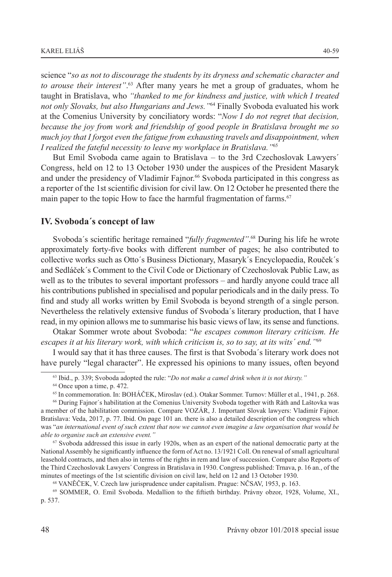science "*so as not to discourage the students by its dryness and schematic character and to arouse their interest"*. <sup>63</sup> After many years he met a group of graduates, whom he taught in Bratislava, who *"thanked to me for kindness and justice, with which I treated not only Slovaks, but also Hungarians and Jews."*<sup>64</sup> Finally Svoboda evaluated his work at the Comenius University by conciliatory words: "*Now I do not regret that decision, because the joy from work and friendship of good people in Bratislava brought me so much joy that I forgot even the fatigue from exhausting travels and disappointment, when* 

*I realized the fateful necessity to leave my workplace in Bratislava."*<sup>65</sup>

But Emil Svoboda came again to Bratislava – to the 3rd Czechoslovak Lawyers´ Congress, held on 12 to 13 October 1930 under the auspices of the President Masaryk and under the presidency of Vladimír Fajnor.<sup>66</sup> Svoboda participated in this congress as a reporter of the 1st scientific division for civil law. On 12 October he presented there the main paper to the topic How to face the harmful fragmentation of farms.<sup>67</sup>

#### **IV. Svoboda´s concept of law**

Svoboda´s scientific heritage remained "*fully fragmented"*. <sup>68</sup> During his life he wrote approximately forty-five books with different number of pages; he also contributed to collective works such as Otto´s Business Dictionary, Masaryk´s Encyclopaedia, Rouček´s and Sedláček´s Comment to the Civil Code or Dictionary of Czechoslovak Public Law, as well as to the tributes to several important professors – and hardly anyone could trace all his contributions published in specialised and popular periodicals and in the daily press. To find and study all works written by Emil Svoboda is beyond strength of a single person. Nevertheless the relatively extensive fundus of Svoboda´s literary production, that I have read, in my opinion allows me to summarise his basic views of law, its sense and functions.

Otakar Sommer wrote about Svoboda: "*he escapes common literary criticism. He escapes it at his literary work, with which criticism is, so to say, at its wits´ end."*<sup>69</sup>

I would say that it has three causes. The first is that Svoboda´s literary work does not have purely "legal character". He expressed his opinions to many issues, often beyond

<sup>67</sup> Svoboda addressed this issue in early 1920s, when as an expert of the national democratic party at the National Assembly he significantly influence the form of Act no. 13/1921 Coll. On renewal of small agricultural leasehold contracts, and then also in terms of the rights in rem and law of succession. Compare also Reports of the Third Czechoslovak Lawyers´ Congress in Bratislava in 1930. Congress published: Trnava, p. 16 an., of the minutes of meetings of the 1st scientific division on civil law, held on 12 and 13 October 1930.

<sup>68</sup> VANĚČEK, V. Czech law jurisprudence under capitalism. Prague: NČSAV, 1953, p. 163.

69 SOMMER, O. Emil Svoboda. Medallion to the fiftieth birthday. Právny obzor, 1928, Volume, XI., p. 537.

<sup>63</sup> Ibid., p. 339; Svoboda adopted the rule: "*Do not make a camel drink when it is not thirsty."*

<sup>64</sup> Once upon a time, p. 472.

<sup>65</sup> In commemoration. In: BOHÁČEK, Miroslav (ed.). Otakar Sommer. Turnov: Müller et al., 1941, p. 268.

<sup>66</sup> During Fajnor´s habilitation at the Comenius University Svoboda together with Ráth and Laštovka was a member of the habilitation commission. Compare VOZÁR, J. Important Slovak lawyers: Vladimír Fajnor. Bratislava: Veda, 2017, p. 77. Ibid. On page 101 an. there is also a detailed description of the congress which was "*an international event of such extent that now we cannot even imagine a law organisation that would be able to organise such an extensive event."*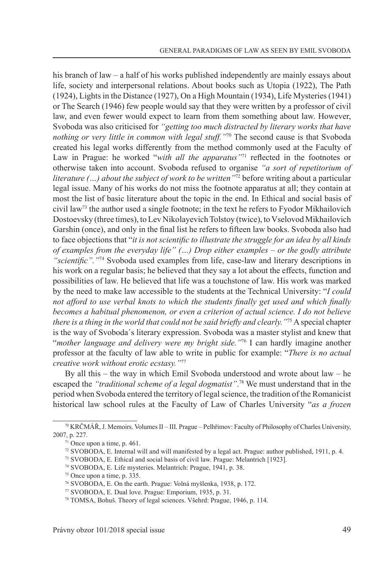his branch of law – a half of his works published independently are mainly essays about life, society and interpersonal relations. About books such as Utopia (1922), The Path (1924), Lights in the Distance (1927), On a High Mountain (1934), Life Mysteries (1941) or The Search (1946) few people would say that they were written by a professor of civil law, and even fewer would expect to learn from them something about law. However, Svoboda was also criticised for *"getting too much distracted by literary works that have nothing or very little in common with legal stuff."*70 The second cause is that Svoboda created his legal works differently from the method commonly used at the Faculty of Law in Prague: he worked "*with all the apparatus*"<sup>71</sup> reflected in the footnotes or otherwise taken into account. Svoboda refused to organise *"a sort of repetitorium of literature (...) about the subject of work to be written*<sup>772</sup> before writing about a particular legal issue. Many of his works do not miss the footnote apparatus at all; they contain at most the list of basic literature about the topic in the end. In Ethical and social basis of civil law<sup>73</sup> the author used a single footnote; in the text he refers to Fyodor Mikhailovich Dostoevsky (three times), to Lev Nikolayevich Tolstoy (twice), to Vselovod Mikhailovich Garshin (once), and only in the final list he refers to fifteen law books. Svoboda also had to face objections that "*it is not scientific to illustrate the struggle for an idea by all kinds of examples from the everyday life" (…) Drop either examples – or the godly attribute "scientific"."*<sup>74</sup> Svoboda used examples from life, case-law and literary descriptions in his work on a regular basis; he believed that they say a lot about the effects, function and possibilities of law. He believed that life was a touchstone of law. His work was marked by the need to make law accessible to the students at the Technical University: "*I could not afford to use verbal knots to which the students finally get used and which finally becomes a habitual phenomenon, or even a criterion of actual science. I do not believe there is a thing in the world that could not be said briefly and clearly."*75 A special chapter is the way of Svoboda´s literary expression. Svoboda was a master stylist and knew that "*mother language and delivery were my bright side."*<sup>76</sup> I can hardly imagine another professor at the faculty of law able to write in public for example: "*There is no actual creative work without erotic ecstasy."*<sup>77</sup>

By all this – the way in which Emil Svoboda understood and wrote about law – he escaped the *"traditional scheme of a legal dogmatist"*. <sup>78</sup> We must understand that in the period when Svoboda entered the territory of legal science, the tradition of the Romanicist historical law school rules at the Faculty of Law of Charles University "*as a frozen* 

<sup>&</sup>lt;sup>70</sup> KRČMÁŘ, J. Memoirs. Volumes II – III. Prague – Pelhřimov: Faculty of Philosophy of Charles University, 2007, p. 227.

 $71$  Once upon a time, p. 461.

<sup>72</sup> SVOBODA, E. Internal will and will manifested by a legal act. Prague: author published, 1911, p. 4.

<sup>73</sup> SVOBODA, E. Ethical and social basis of civil law. Prague: Melantrich [1923].

<sup>74</sup> SVOBODA, E. Life mysteries. Melantrich: Prague, 1941, p. 38.

<sup>75</sup> Once upon a time, p. 335.

<sup>76</sup> SVOBODA, E. On the earth. Prague: Volná myšlenka, 1938, p. 172.

<sup>77</sup> SVOBODA, E. Dual love. Prague: Emporium, 1935, p. 31.

<sup>78</sup> TOMSA, Bohuš. Theory of legal sciences. Všehrd: Prague, 1946, p. 114.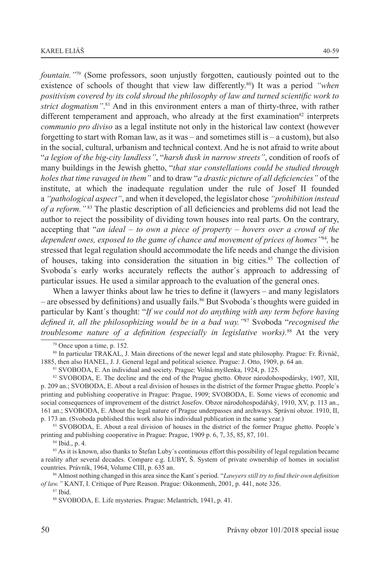*fountain."*79 (Some professors, soon unjustly forgotten, cautiously pointed out to the existence of schools of thought that view law differently.80) It was a period *"when positivism covered by its cold shroud the philosophy of law and turned scientific work to strict dogmatism"*. <sup>81</sup> And in this environment enters a man of thirty-three, with rather different temperament and approach, who already at the first examination<sup>82</sup> interprets *communio pro diviso* as a legal institute not only in the historical law context (however forgetting to start with Roman law, as it was – and sometimes still is – a custom), but also in the social, cultural, urbanism and technical context. And he is not afraid to write about "*a legion of the big-city landless"*, "*harsh dusk in narrow streets"*, condition of roofs of many buildings in the Jewish ghetto, "*that star constellations could be studied through holes that time ravaged in them"* and to draw "*a drastic picture of all deficiencies"* of the institute, at which the inadequate regulation under the rule of Josef II founded a *"pathological aspect"*, and when it developed, the legislator chose *"prohibition instead of a reform."* <sup>83</sup> The plastic description of all deficiencies and problems did not lead the author to reject the possibility of dividing town houses into real parts. On the contrary, accepting that "*an ideal – to own a piece of property – hovers over a crowd of the dependent ones, exposed to the game of chance and movement of prices of homes"*<sup>84</sup>*,* he stressed that legal regulation should accommodate the life needs and change the division of houses, taking into consideration the situation in big cities.85 The collection of Svoboda´s early works accurately reflects the author´s approach to addressing of particular issues. He used a similar approach to the evaluation of the general ones.

When a lawyer thinks about law he tries to define it (lawyers – and many legislators – are obsessed by definitions) and usually fails.<sup>86</sup> But Svoboda´s thoughts were guided in particular by Kant´s thought: "*If we could not do anything with any term before having defined it, all the philosophizing would be in a bad way."*<sup>87</sup> Svoboda "*recognised the troublesome nature of a definition (especially in legislative works).*<sup>88</sup> At the very

80 In particular TRAKAL, J. Main directions of the newer legal and state philosophy. Prague: Fr. Řivnáč, 1885, then also HANEL, J. J. General legal and political science. Prague: J. Otto, 1909, p. 64 an.

<sup>81</sup> SVOBODA, E. An individual and society. Prague: Volná myšlenka, 1924, p. 125.

82 SVOBODA, E. The decline and the end of the Prague ghetto. Obzor národohospodársky, 1907, XII, p. 209 an.; SVOBODA, E. About a real division of houses in the district of the former Prague ghetto. People´s printing and publishing cooperative in Prague: Prague, 1909; SVOBODA, E. Some views of economic and social consequences of improvement of the district Josefov. Obzor národohospodářský, 1910, XV, p. 113 an., 161 an.; SVOBODA, E. About the legal nature of Prague underpasses and archways. Správní obzor. 1910, II, p. 173 an. (Svoboda published this work also his individual publication in the same year.)

<sup>83</sup> SVOBODA, E. About a real division of houses in the district of the former Prague ghetto. People´s printing and publishing cooperative in Prague: Prague, 1909 p. 6, 7, 35, 85, 87, 101.

<sup>84</sup> Ibid., p. 4.

85 As it is known, also thanks to Štefan Luby´s continuous effort this possibility of legal regulation became a reality after several decades. Compare e.g. LUBY, Š. System of private ownership of homes in socialist countries. Právník, 1964, Volume CIII, p. 635 an.

<sup>86</sup> Almost nothing changed in this area since the Kant´s period. "*Lawyers still try to find their own definition of law."* KANT, I. Critique of Pure Reason. Prague: Oikonmenh, 2001, p. 441, note 326.

88 SVOBODA, E. Life mysteries. Prague: Melantrich, 1941, p. 41.

<sup>79</sup> Once upon a time, p. 152.

<sup>87</sup> Ibid.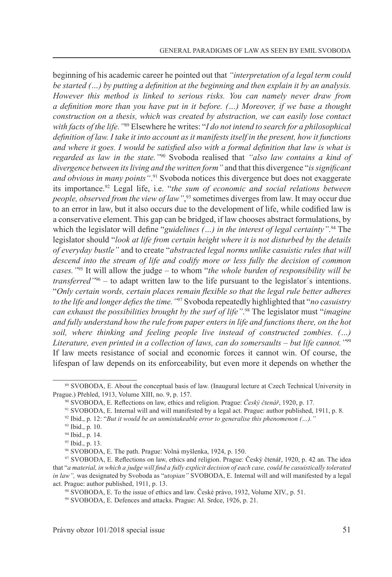beginning of his academic career he pointed out that *"interpretation of a legal term could be started (…) by putting a definition at the beginning and then explain it by an analysis. However this method is linked to serious risks. You can namely never draw from a definition more than you have put in it before. (…) Moreover, if we base a thought construction on a thesis, which was created by abstraction, we can easily lose contact with facts of the life."*89 Elsewhere he writes: "*I do not intend to search for a philosophical definition of law. I take it into account as it manifests itself in the present, how it functions and where it goes. I would be satisfied also with a formal definition that law is what is regarded as law in the state."*90 Svoboda realised that *"also law contains a kind of divergence between its living and the written form"* and that this divergence "*is significant and obvious in many points"*. 91 Svoboda notices this divergence but does not exaggerate its importance.92 Legal life, i.e. "*the sum of economic and social relations between people, observed from the view of law"*, 93 sometimes diverges from law. It may occur due to an error in law, but it also occurs due to the development of life, while codified law is a conservative element. This gap can be bridged, if law chooses abstract formulations, by which the legislator will define "*guidelines (…) in the interest of legal certainty"*. 94 The legislator should "*look at life from certain height where it is not disturbed by the details of everyday bustle"* and to create "*abstracted legal norms unlike casuistic rules that will descend into the stream of life and codify more or less fully the decision of common cases."*<sup>95</sup> It will allow the judge – to whom "*the whole burden of responsibility will be transferred"*96 – to adapt written law to the life pursuant to the legislator´s intentions. "*Only certain words, certain places remain flexible so that the legal rule better adheres to the life and longer defies the time."*<sup>97</sup> Svoboda repeatedly highlighted that "*no casuistry can exhaust the possibilities brought by the surf of life"*. 98 The legislator must "*imagine and fully understand how the rule from paper enters in life and functions there, on the hot soil, where thinking and feeling people live instead of constructed zombies. (…) Literature, even printed in a collection of laws, can do somersaults – but life cannot."*<sup>99</sup> If law meets resistance of social and economic forces it cannot win. Of course, the lifespan of law depends on its enforceability, but even more it depends on whether the

<sup>89</sup> SVOBODA, E. About the conceptual basis of law. (Inaugural lecture at Czech Technical University in Prague.) Přehled, 1913, Volume XIII, no. 9, p. 157.

<sup>90</sup> SVOBODA, E. Reflections on law, ethics and religion. Prague: *Český čtenář*, 1920, p. 17.

<sup>91</sup> SVOBODA, E. Internal will and will manifested by a legal act. Prague: author published, 1911, p. 8.

<sup>92</sup> Ibid., p. 12: "*But it would be an unmistakeable error to generalise this phenomenon (…)."*

<sup>93</sup> Ibid., p. 10.

<sup>94</sup> Ibid., p. 14.

<sup>95</sup> Ibid., p. 13.

<sup>96</sup> SVOBODA, E. The path. Prague: Volná myšlenka, 1924, p. 150.

<sup>97</sup> SVOBODA, E. Reflections on law, ethics and religion. Prague: Český čtenář, 1920, p. 42 an. The idea that "*a material, in which a judge will find a fully explicit decision of each case, could be casuistically tolerated in law",* was designated by Svoboda as "*utopian"* SVOBODA, E. Internal will and will manifested by a legal act. Prague: author published, 1911, p. 13.

<sup>98</sup> SVOBODA, E. To the issue of ethics and law. České právo, 1932, Volume XIV., p. 51.

<sup>99</sup> SVOBODA, E. Defences and attacks. Prague: Al. Srdce, 1926, p. 21.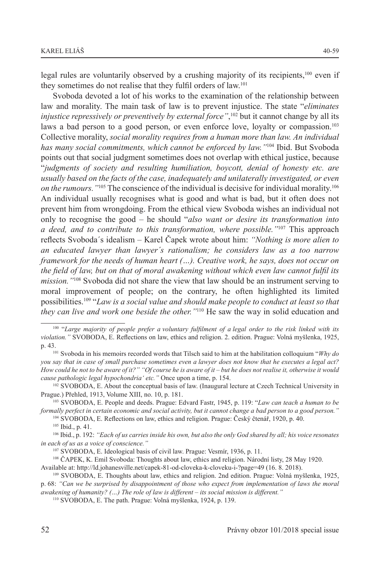legal rules are voluntarily observed by a crushing majority of its recipients,<sup>100</sup> even if they sometimes do not realise that they fulfil orders of law.101

Svoboda devoted a lot of his works to the examination of the relationship between law and morality. The main task of law is to prevent injustice. The state "*eliminates injustice repressively or preventively by external force"*, 102 but it cannot change by all its laws a bad person to a good person, or even enforce love, loyalty or compassion.<sup>103</sup> Collective morality, *social morality requires from a human more than law. An individual has many social commitments, which cannot be enforced by law."*104 Ibid. But Svoboda points out that social judgment sometimes does not overlap with ethical justice, because "*judgments of society and resulting humiliation, boycott, denial of honesty etc. are usually based on the facts of the case, inadequately and unilaterally investigated, or even on the rumours."*<sup>105</sup> The conscience of the individual is decisive for individual morality.106 An individual usually recognises what is good and what is bad, but it often does not prevent him from wrongdoing. From the ethical view Svoboda wishes an individual not only to recognise the good – he should "*also want or desire its transformation into a deed, and to contribute to this transformation, where possible."*107 This approach reflects Svoboda´s idealism – Karel Čapek wrote about him: *"Nothing is more alien to an educated lawyer than lawyer´s rationalism; he considers law as a too narrow framework for the needs of human heart (…). Creative work, he says, does not occur on the field of law, but on that of moral awakening without which even law cannot fulfil its mission."*108 Svoboda did not share the view that law should be an instrument serving to moral improvement of people; on the contrary, he often highlighted its limited possibilities.109 "*Law is a social value and should make people to conduct at least so that they can live and work one beside the other."*<sup>110</sup> He saw the way in solid education and

104 SVOBODA, E. Reflections on law, ethics and religion. Prague: Český čtenář, 1920, p. 40.

105 Ibid., p. 41.

106 Ibid., p. 192: *"Each of us carries inside his own, but also the only God shared by all; his voice resonates in each of us as a voice of conscience."*

108 ČAPEK, K. Emil Svoboda: Thoughts about law, ethics and religion. Národní listy, 28 May 1920.

Available at: http://ld.johanesville.net/capek-81-od-cloveka-k-cloveku-i-?page=49 (16. 8. 2018).

<sup>100 &</sup>quot;*Large majority of people prefer a voluntary fulfilment of a legal order to the risk linked with its violation."* SVOBODA, E. Reflections on law, ethics and religion. 2. edition. Prague: Volná myšlenka, 1925, p. 43.<br><sup>101</sup> Svoboda in his memoirs recorded words that Tilsch said to him at the habilitation colloquium "*Why do* 

*you say that in case of small purchase sometimes even a lawyer does not know that he executes a legal act? How could he not to be aware of it?" "Of course he is aware of it – but he does not realise it, otherwise it would cause pathologic legal hypochondria' etc."* Once upon a time, p. 154.

<sup>102</sup> SVOBODA, E. About the conceptual basis of law. (Inaugural lecture at Czech Technical University in Prague.) Přehled, 1913, Volume XIII, no. 10, p. 181.

<sup>103</sup> SVOBODA, E. People and deeds. Prague: Edvard Fastr, 1945, p. 119: "*Law can teach a human to be formally perfect in certain economic and social activity, but it cannot change a bad person to a good person."*

<sup>107</sup> SVOBODA, E. Ideological basis of civil law. Prague: Vesmír, 1936, p. 11.

<sup>109</sup> SVOBODA, E. Thoughts about law, ethics and religion. 2nd edition. Prague: Volná myšlenka, 1925,

p. 68: *"Can we be surprised by disappointment of those who expect from implementation of laws the moral awakening of humanity? (…) The role of law is different – its social mission is different."*

<sup>110</sup> SVOBODA, E. The path. Prague: Volná myšlenka, 1924, p. 139.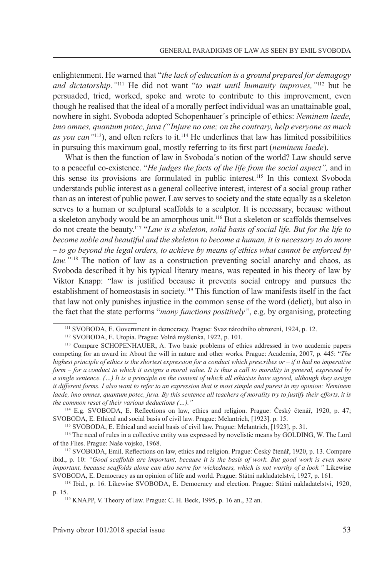enlightenment. He warned that "*the lack of education is a ground prepared for demagogy and dictatorship."*<sup>111</sup> He did not want "*to wait until humanity improves,"*<sup>112</sup> but he persuaded, tried, worked, spoke and wrote to contribute to this improvement, even though he realised that the ideal of a morally perfect individual was an unattainable goal, nowhere in sight. Svoboda adopted Schopenhauer´s principle of ethics: *Neminem laede, imo omnes, quantum potec, juva ("Injure no one; on the contrary, help everyone as much as you can"*<sup>113</sup>), and often refers to it.<sup>114</sup> He underlines that law has limited possibilities in pursuing this maximum goal, mostly referring to its first part (*neminem laede*).

What is then the function of law in Svoboda´s notion of the world? Law should serve to a peaceful co-existence. "*He judges the facts of the life from the social aspect",* and in this sense its provisions are formulated in public interest.115 In this context Svoboda understands public interest as a general collective interest, interest of a social group rather than as an interest of public power. Law serves to society and the state equally as a skeleton serves to a human or sculptural scaffolds to a sculptor. It is necessary, because without a skeleton anybody would be an amorphous unit.<sup>116</sup> But a skeleton or scaffolds themselves do not create the beauty.<sup>117</sup> "*Law is a skeleton, solid basis of social life. But for the life to become noble and beautiful and the skeleton to become a human, it is necessary to do more – to go beyond the legal orders, to achieve by means of ethics what cannot be enforced by law.*"<sup>118</sup> The notion of law as a construction preventing social anarchy and chaos, as Svoboda described it by his typical literary means, was repeated in his theory of law by Viktor Knapp: "law is justified because it prevents social entropy and pursues the establishment of homeostasis in society.119 This function of law manifests itself in the fact that law not only punishes injustice in the common sense of the word (delict), but also in the fact that the state performs "*many functions positively"*, e.g. by organising, protecting

115 SVOBODA, E. Ethical and social basis of civil law. Prague: Melantrich, [1923], p. 31.

<sup>111</sup> SVOBODA, E. Government in democracy. Prague: Svaz národního obrození, 1924, p. 12.

<sup>112</sup> SVOBODA, E. Utopia. Prague: Volná myšlenka, 1922, p. 101.

<sup>113</sup> Compare SCHOPENHAUER, A. Two basic problems of ethics addressed in two academic papers competing for an award in: About the will in nature and other works. Prague: Academia, 2007, p. 445: "*The highest principle of ethics is the shortest expression for a conduct which prescribes or – if it had no imperative form – for a conduct to which it assigns a moral value. It is thus a call to morality in general, expressed by a single sentence. (…) It is a principle on the content of which all ethicists have agreed, although they assign it different forms. I also want to refer to an expression that is most simple and purest in my opinion: Neminem laede, imo omnes, quantum potec, juva. By this sentence all teachers of morality try to justify their efforts, it is the common reset of their various deductions (…)."*

<sup>114</sup> E.g. SVOBODA, E. Reflections on law, ethics and religion. Prague: Český čtenář, 1920, p. 47; SVOBODA, E. Ethical and social basis of civil law. Prague: Melantrich, [1923]. p. 15.

<sup>116</sup> The need of rules in a collective entity was expressed by novelistic means by GOLDING, W. The Lord of the Flies. Prague: Naše vojsko, 1968.

<sup>117</sup> SVOBODA, Emil. Reflections on law, ethics and religion. Prague: Český čtenář, 1920, p. 13. Compare ibid., p. 10: *"Good scaffolds are important, because it is the basis of work. But good work is even more important, because scaffolds alone can also serve for wickedness, which is not worthy of a look."* Likewise SVOBODA, E. Democracy as an opinion of life and world. Prague: Státní nakladatelství, 1927, p. 161.

<sup>118</sup> Ibid., p. 16. Likewise SVOBODA, E. Democracy and election. Prague: Státní nakladatelství, 1920, p. 15.

<sup>119</sup> KNAPP, V. Theory of law. Prague: C. H. Beck, 1995, p. 16 an., 32 an.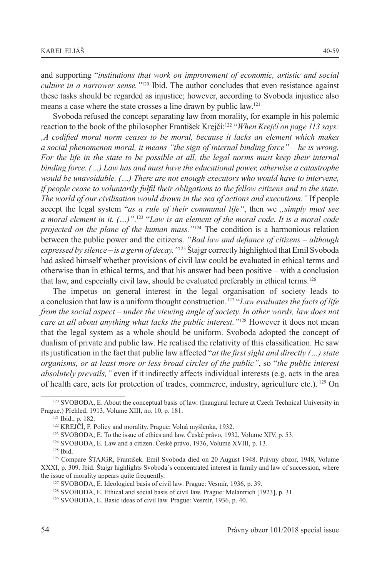and supporting "*institutions that work on improvement of economic, artistic and social culture in a narrower sense."*120 Ibid. The author concludes that even resistance against these tasks should be regarded as injustice; however, according to Svoboda injustice also means a case where the state crosses a line drawn by public law.121

Svoboda refused the concept separating law from morality, for example in his polemic reaction to the book of the philosopher František Krejčí:<sup>122</sup> "*When Krejčí on page 113 says: 'A codified moral norm ceases to be moral, because it lacks an element which makes a social phenomenon moral, it means "the sign of internal binding force" – he is wrong. For the life in the state to be possible at all, the legal norms must keep their internal binding force. (…) Law has and must have the educational power, otherwise a catastrophe would be unavoidable. (…) There are not enough executors who would have to intervene, if people cease to voluntarily fulfil their obligations to the fellow citizens and to the state. The world of our civilisation would drown in the sea of actions and executions."* If people accept the legal system "*as a rule of their communal life*", then we *"simply must see a moral element in it. (…)"*. 123 "*Law is an element of the moral code. It is a moral code projected on the plane of the human mass."*<sup>124</sup> The condition is a harmonious relation between the public power and the citizens. *"Bad law and defiance of citizens – although expressed by silence – is a germ of decay."*125 Štajgr correctly highlighted that Emil Svoboda had asked himself whether provisions of civil law could be evaluated in ethical terms and otherwise than in ethical terms, and that his answer had been positive – with a conclusion that law, and especially civil law, should be evaluated preferably in ethical terms.126

The impetus on general interest in the legal organisation of society leads to a conclusion that law is a uniform thought construction.127 "*Law evaluates the facts of life from the social aspect – under the viewing angle of society. In other words, law does not care at all about anything what lacks the public interest."*128 However it does not mean that the legal system as a whole should be uniform. Svoboda adopted the concept of dualism of private and public law. He realised the relativity of this classification. He saw its justification in the fact that public law affected "*at the first sight and directly (…) state organisms, or at least more or less broad circles of the public"*, so "*the public interest absolutely prevails,"* even if it indirectly affects individual interests (e.g. acts in the area of health care, acts for protection of trades, commerce, industry, agriculture etc.). 129 On

<sup>120</sup> SVOBODA, E. About the conceptual basis of law. (Inaugural lecture at Czech Technical University in Prague.) Přehled, 1913, Volume XIII, no. 10, p. 181.

<sup>121</sup> Ibid., p. 182.

<sup>122</sup> KREJČÍ, F. Policy and morality. Prague: Volná myšlenka, 1932.

<sup>123</sup> SVOBODA, E. To the issue of ethics and law. České právo, 1932, Volume XIV, p. 53.

<sup>124</sup> SVOBODA, E. Law and a citizen. České právo, 1936, Volume XVIII, p. 13.

<sup>125</sup> Ibid.

<sup>126</sup> Compare ŠTAJGR, František. Emil Svoboda died on 20 August 1948. Právny obzor, 1948, Volume XXXI, p. 309. Ibid. Štajgr highlights Svoboda´s concentrated interest in family and law of succession, where the issue of morality appears quite frequently.

<sup>127</sup> SVOBODA, E. Ideological basis of civil law. Prague: Vesmír, 1936, p. 39.

<sup>128</sup> SVOBODA, E. Ethical and social basis of civil law. Prague: Melantrich [1923], p. 31.

<sup>129</sup> SVOBODA, E. Basic ideas of civil law. Prague: Vesmír, 1936, p. 40.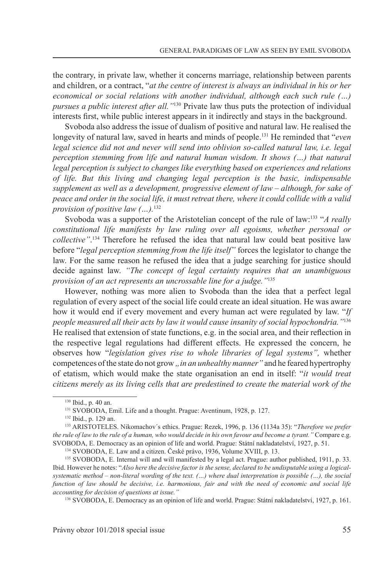the contrary, in private law, whether it concerns marriage, relationship between parents and children, or a contract, "*at the centre of interest is always an individual in his or her economical or social relations with another individual, although each such rule (…) pursues a public interest after all."*<sup>130</sup> Private law thus puts the protection of individual interests first, while public interest appears in it indirectly and stays in the background.

Svoboda also address the issue of dualism of positive and natural law. He realised the longevity of natural law, saved in hearts and minds of people.<sup>131</sup> He reminded that "*even legal science did not and never will send into oblivion so-called natural law, i.e. legal perception stemming from life and natural human wisdom. It shows (…) that natural legal perception is subject to changes like everything based on experiences and relations of life. But this living and changing legal perception is the basic, indispensable supplement as well as a development, progressive element of law – although, for sake of peace and order in the social life, it must retreat there, where it could collide with a valid provision of positive law (…).*<sup>132</sup>

Svoboda was a supporter of the Aristotelian concept of the rule of law:<sup>133</sup> "*A really constitutional life manifests by law ruling over all egoisms, whether personal or collective"*. <sup>134</sup> Therefore he refused the idea that natural law could beat positive law before "*legal perception stemming from the life itself"* forces the legislator to change the law. For the same reason he refused the idea that a judge searching for justice should decide against law. *"The concept of legal certainty requires that an unambiguous provision of an act represents an uncrossable line for a judge."*<sup>135</sup>

However, nothing was more alien to Svoboda than the idea that a perfect legal regulation of every aspect of the social life could create an ideal situation. He was aware how it would end if every movement and every human act were regulated by law. "*If people measured all their acts by law it would cause insanity of social hypochondria."*<sup>136</sup> He realised that extension of state functions, e.g. in the social area, and their reflection in the respective legal regulations had different effects. He expressed the concern, he observes how "*legislation gives rise to whole libraries of legal systems",* whether competences of the state do not grow *, in an unhealthy manner*" and he feared hypertrophy of etatism, which would make the state organisation an end in itself: "*it would treat citizens merely as its living cells that are predestined to create the material work of the* 

136 SVOBODA, E. Democracy as an opinion of life and world. Prague: Státní nakladatelství, 1927, p. 161.

Právny obzor 101/2018 special issue 55

<sup>130</sup> Ibid., p. 40 an.

<sup>131</sup> SVOBODA, Emil. Life and a thought. Prague: Aventinum, 1928, p. 127.

<sup>132</sup> Ibid., p. 129 an.

<sup>133</sup> ARISTOTELES. Nikomachov´s ethics. Prague: Rezek, 1996, p. 136 (1134a 35): "*Therefore we prefer the rule of law to the rule of a human, who would decide in his own favour and become a tyrant."* Compare e.g. SVOBODA, E. Democracy as an opinion of life and world. Prague: Státní nakladatelství, 1927, p. 51.

<sup>134</sup> SVOBODA, E. Law and a citizen. České právo, 1936, Volume XVIII, p. 13.

<sup>135</sup> SVOBODA, E. Internal will and will manifested by a legal act. Prague: author published, 1911, p. 33. Ibid. However he notes: "*Also here the decisive factor is the sense, declared to be undisputable using a logicalsystematic method – non-literal wording of the text. (…) where dual interpretation is possible (…), the social function of law should be decisive, i.e. harmonious, fair and with the need of economic and social life accounting for decision of questions at issue."*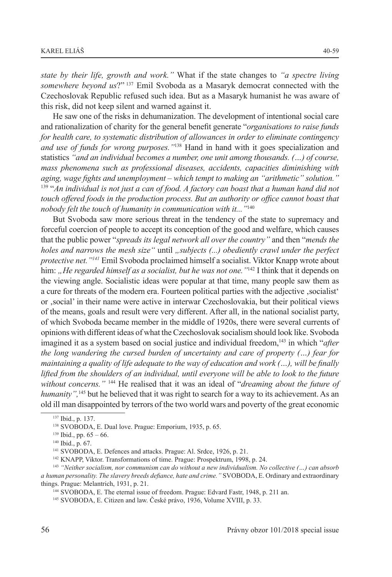*state by their life, growth and work."* What if the state changes to *"a spectre living somewhere beyond us*?" <sup>137</sup> Emil Svoboda as a Masaryk democrat connected with the Czechoslovak Republic refused such idea. But as a Masaryk humanist he was aware of this risk, did not keep silent and warned against it.

He saw one of the risks in dehumanization. The development of intentional social care and rationalization of charity for the general benefit generate "*organisations to raise funds for health care, to systematic distribution of allowances in order to eliminate contingency and use of funds for wrong purposes."*<sup>138</sup> Hand in hand with it goes specialization and statistics *"and an individual becomes a number, one unit among thousands. (…) of course, mass phenomena such as professional diseases, accidents, capacities diminishing with aging, wage fights and unemployment – which tempt to making an "arithmetic" solution."* 139 "*An individual is not just a can of food. A factory can boast that a human hand did not touch offered foods in the production process. But an authority or office cannot boast that nobody felt the touch of humanity in communication with it..."*<sup>140</sup>

But Svoboda saw more serious threat in the tendency of the state to supremacy and forceful coercion of people to accept its conception of the good and welfare, which causes that the public power "*spreads its legal network all over the country"* and then "*mends the holes and narrows the mesh size* " until *, subjects (...) obediently crawl under the perfect protective net."141* Emil Svoboda proclaimed himself a socialist. Viktor Knapp wrote about him: "He regarded himself as a socialist, but he was not one."<sup>142</sup> I think that it depends on the viewing angle. Socialistic ideas were popular at that time, many people saw them as a cure for threats of the modern era. Fourteen political parties with the adjective 'socialist' or 'social' in their name were active in interwar Czechoslovakia, but their political views of the means, goals and result were very different. After all, in the national socialist party, of which Svoboda became member in the middle of 1920s, there were several currents of opinions with different ideas of what the Czechoslovak socialism should look like. Svoboda imagined it as a system based on social justice and individual freedom,<sup>143</sup> in which "after *the long wandering the cursed burden of uncertainty and care of property (…) fear for maintaining a quality of life adequate to the way of education and work (…), will be finally lifted from the shoulders of an individual, until everyone will be able to look to the future without concerns."* <sup>144</sup> He realised that it was an ideal of "*dreaming about the future of humanity",*145 but he believed that it was right to search for a way to its achievement. As an old ill man disappointed by terrors of the two world wars and poverty of the great economic

<sup>137</sup> Ibid., p. 137.

<sup>138</sup> SVOBODA, E. Dual love. Prague: Emporium, 1935, p. 65.

 $139$  Ibid., pp.  $65 - 66$ .

<sup>140</sup> Ibid., p. 67.

<sup>141</sup> SVOBODA, E. Defences and attacks. Prague: Al. Srdce, 1926, p. 21.

<sup>142</sup> KNAPP, Viktor. Transformations of time. Prague: Prospektrum, 1998, p. 24.

<sup>143</sup> *"Neither socialism, nor communism can do without a new individualism. No collective (…) can absorb a human personality. The slavery breeds defiance, hate and crime."* SVOBODA, E. Ordinary and extraordinary things. Prague: Melantrich, 1931, p. 21.

<sup>144</sup> SVOBODA, E. The eternal issue of freedom. Prague: Edvard Fastr, 1948, p. 211 an.

<sup>145</sup> SVOBODA, E. Citizen and law. České právo, 1936, Volume XVIII, p. 33.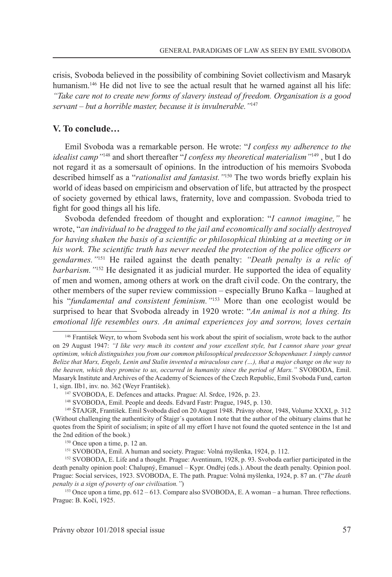crisis, Svoboda believed in the possibility of combining Soviet collectivism and Masaryk humanism.<sup>146</sup> He did not live to see the actual result that he warned against all his life: *"Take care not to create new forms of slavery instead of freedom. Organisation is a good servant – but a horrible master, because it is invulnerable."*<sup>147</sup>

## **V. To conclude…**

Emil Svoboda was a remarkable person. He wrote: "*I confess my adherence to the idealist camp"*<sup>148</sup> and short thereafter "*I confess my theoretical materialism"*149 , but I do not regard it as a somersault of opinions. In the introduction of his memoirs Svoboda described himself as a "*rationalist and fantasist."*150 The two words briefly explain his world of ideas based on empiricism and observation of life, but attracted by the prospect of society governed by ethical laws, fraternity, love and compassion. Svoboda tried to fight for good things all his life.

Svoboda defended freedom of thought and exploration: "*I cannot imagine,"* he wrote, "*an individual to be dragged to the jail and economically and socially destroyed for having shaken the basis of a scientific or philosophical thinking at a meeting or in his work. The scientific truth has never needed the protection of the police officers or gendarmes."*<sup>151</sup> He railed against the death penalty: *"Death penalty is a relic of barbarism.*"<sup>152</sup> He designated it as judicial murder. He supported the idea of equality of men and women, among others at work on the draft civil code. On the contrary, the other members of the super review commission – especially Bruno Kafka – laughed at his "*fundamental and consistent feminism."*153 More than one ecologist would be surprised to hear that Svoboda already in 1920 wrote: "*An animal is not a thing. Its emotional life resembles ours. An animal experiences joy and sorrow, loves certain* 

<sup>146</sup> František Weyr, to whom Svoboda sent his work about the spirit of socialism, wrote back to the author on 29 August 1947: *"I like very much its content and your excellent style, but I cannot share your great optimism, which distinguishes you from our common philosophical predecessor Schopenhauer. I simply cannot Belize that Marx, Engels, Lenin and Stalin invented a miraculous cure (…), that a major change on the way to the heaven, which they promise to us, occurred in humanity since the period of Marx."* SVOBODA, Emil. Masaryk Institute and Archives of the Academy of Sciences of the Czech Republic, Emil Svoboda Fund, carton 1, sign. IIb1, inv. no. 362 (Weyr František).

<sup>147</sup> SVOBODA, E. Defences and attacks. Prague: Al. Srdce, 1926, p. 23.

<sup>148</sup> SVOBODA, Emil. People and deeds. Edvard Fastr: Prague, 1945, p. 130.

<sup>149</sup> ŠTAJGR, František. Emil Svoboda died on 20 August 1948. Právny obzor, 1948, Volume XXXI, p. 312 (Without challenging the authenticity of Štajgr´s quotation I note that the author of the obituary claims that he quotes from the Spirit of socialism; in spite of all my effort I have not found the quoted sentence in the 1st and the 2nd edition of the book.)

<sup>150</sup> Once upon a time, p. 12 an.

<sup>151</sup> SVOBODA, Emil. A human and society. Prague: Volná myšlenka, 1924, p. 112.

<sup>152</sup> SVOBODA, E. Life and a thought. Prague: Aventinum, 1928, p. 93. Svoboda earlier participated in the death penalty opinion pool: Chalupný, Emanuel – Kypr. Ondřej (eds.). About the death penalty. Opinion pool. Prague: Social services, 1923. SVOBODA, E. The path. Prague: Volná myšlenka, 1924, p. 87 an. ("*The death penalty is a sign of poverty of our civilisation."*)

<sup>&</sup>lt;sup>153</sup> Once upon a time, pp.  $612 - 613$ . Compare also SVOBODA, E. A woman – a human. Three reflections. Prague: B. Kočí, 1925.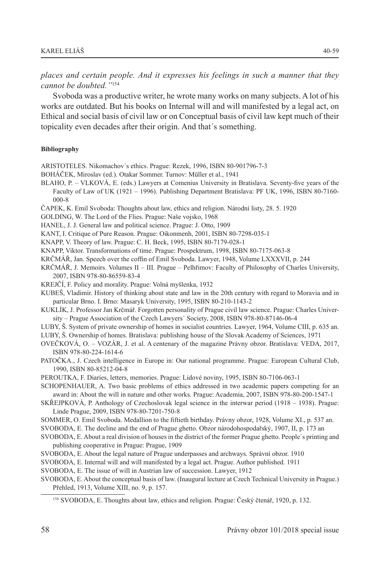*places and certain people. And it expresses his feelings in such a manner that they cannot be doubted."*<sup>154</sup>

Svoboda was a productive writer, he wrote many works on many subjects. A lot of his works are outdated. But his books on Internal will and will manifested by a legal act, on Ethical and social basis of civil law or on Conceptual basis of civil law kept much of their topicality even decades after their origin. And that´s something.

#### **Bibliography**

ARISTOTELES. Nikomachov´s ethics. Prague: Rezek, 1996, ISBN 80-901796-7-3

- BOHÁČEK, Miroslav (ed.). Otakar Sommer. Turnov: Müller et al., 1941
- BLAHO, P. VLKOVÁ, E. (eds.) Lawyers at Comenius University in Bratislava. Seventy-five years of the Faculty of Law of UK (1921 – 1996). Publishing Department Bratislava: PF UK, 1996, ISBN 80-7160- 000-8
- ČAPEK, K. Emil Svoboda: Thoughts about law, ethics and religion. Národní listy, 28. 5. 1920
- GOLDING, W. The Lord of the Flies. Prague: Naše vojsko, 1968
- HANEL, J. J. General law and political science. Prague: J. Otto, 1909
- KANT, I. Critique of Pure Reason. Prague: Oikonmenh, 2001, ISBN 80-7298-035-1
- KNAPP, V. Theory of law. Prague: C. H. Beck, 1995, ISBN 80-7179-028-1
- KNAPP, Viktor. Transformations of time. Prague: Prospektrum, 1998, ISBN 80-7175-063-8
- KRČMÁŘ, Jan. Speech over the coffin of Emil Svoboda. Lawyer, 1948, Volume LXXXVII, p. 244
- KRČMÁŘ, J. Memoirs. Volumes II III. Prague Pelhřimov: Faculty of Philosophy of Charles University, 2007, ISBN 978-80-86559-83-4
- KREJČÍ, F. Policy and morality. Prague: Volná myšlenka, 1932
- KUBEŠ, Vladimír. History of thinking about state and law in the 20th century with regard to Moravia and in particular Brno. I. Brno: Masaryk University, 1995, ISBN 80-210-1143-2
- KUKLÍK, J. Professor Jan Krčmář. Forgotten personality of Prague civil law science. Prague: Charles University – Prague Association of the Czech Lawyers´ Society, 2008, ISBN 978-80-87146-06-4
- LUBY, Š. System of private ownership of homes in socialist countries. Lawyer, 1964, Volume CIII, p. 635 an.
- LUBY, Š. Ownership of homes. Bratislava: publishing house of the Slovak Academy of Sciences, 1971
- OVEČKOVÁ, O. VOZÁR, J. et al. A centenary of the magazine Právny obzor. Bratislava: VEDA, 2017, ISBN 978-80-224-1614-6
- PATOČKA., J. Czech intelligence in Europe in: Our national programme. Prague: European Cultural Club, 1990, ISBN 80-85212-04-8
- PEROUTKA, F. Diaries, letters, memories. Prague: Lidové noviny, 1995, ISBN 80-7106-063-1
- SCHOPENHAUER, A. Two basic problems of ethics addressed in two academic papers competing for an award in: About the will in nature and other works. Prague: Academia, 2007, ISBN 978-80-200-1547-1
- SKŘEJPKOVÁ, P. Anthology of Czechoslovak legal science in the interwar period (1918 1938). Prague: Linde Prague, 2009, ISBN 978-80-7201-750-8
- SOMMER, O. Emil Svoboda. Medallion to the fiftieth birthday. Právny obzor, 1928, Volume XI., p. 537 an.
- SVOBODA, E. The decline and the end of Prague ghetto. Obzor národohospodařský, 1907, II, p. 173 an

SVOBODA, E. About a real division of houses in the district of the former Prague ghetto. People´s printing and publishing cooperative in Prague: Prague, 1909

- SVOBODA, E. About the legal nature of Prague underpasses and archways. Správní obzor. 1910
- SVOBODA, E. Internal will and will manifested by a legal act. Prague. Author published. 1911

SVOBODA, E. The issue of will in Austrian law of succession. Lawyer, 1912

SVOBODA, E. About the conceptual basis of law. (Inaugural lecture at Czech Technical University in Prague.) Přehled, 1913, Volume XIII, no. 9, p. 157.

<sup>154</sup> SVOBODA, E. Thoughts about law, ethics and religion. Prague: Český čtenář, 1920, p. 132.